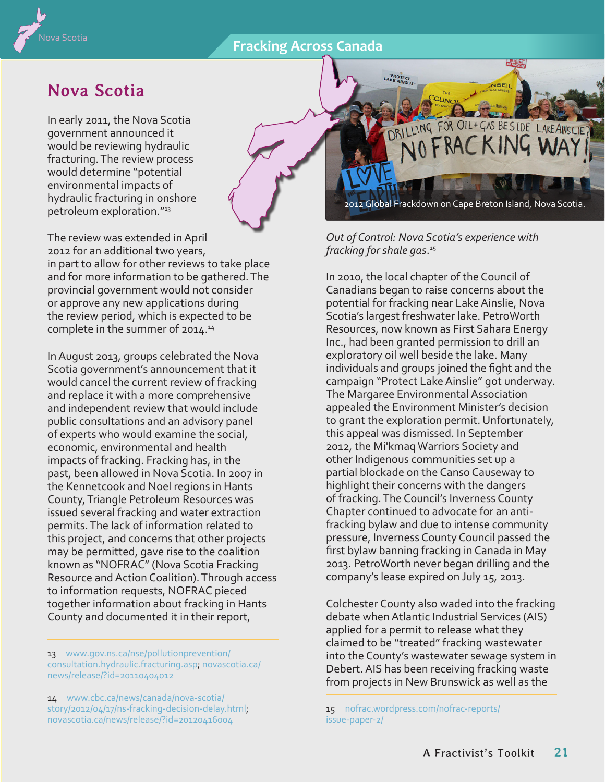## **Fracking Across Canada**



## **Nova Scotia**

In early 2011, the Nova Scotia government announced it would be reviewing hydraulic fracturing. The review process would determine "potential environmental impacts of hydraulic fracturing in onshore petroleum exploration."<sup>13</sup>

The review was extended in April 2012 for an additional two years, in part to allow for other reviews to take place and for more information to be gathered. The provincial government would not consider or approve any new applications during the review period, which is expected to be complete in the summer of 2014.14

In August 2013, groups celebrated the Nova Scotia government's announcement that it would cancel the current review of fracking and replace it with a more comprehensive and independent review that would include public consultations and an advisory panel of experts who would examine the social, economic, environmental and health impacts of fracking. Fracking has, in the past, been allowed in Nova Scotia. In 2007 in the Kennetcook and Noel regions in Hants County, Triangle Petroleum Resources was issued several fracking and water extraction permits. The lack of information related to this project, and concerns that other projects may be permitted, gave rise to the coalition known as "NOFRAC" (Nova Scotia Fracking Resource and Action Coalition). Through access to information requests, NOFRAC pieced together information about fracking in Hants County and documented it in their report,

13 [www.gov.ns.ca/nse/pollutionprevention/](http://www.gov.ns.ca/nse/pollutionprevention/consultation.hydraulic.fracturing.asp) [consultation.hydraulic.fracturing.asp](http://www.gov.ns.ca/nse/pollutionprevention/consultation.hydraulic.fracturing.asp); [novascotia.ca/](http://novascotia.ca/news/release/?id=20110404012) [news/release/?id=20110404012](http://novascotia.ca/news/release/?id=20110404012)

14 [www.cbc.ca/news/canada/nova-scotia/](http://www.cbc.ca/news/canada/nova-scotia/story/2012/04/17/ns-fracking-decision-delay.html) [story/2012/04/17/ns-fracking-decision-delay.html](http://www.cbc.ca/news/canada/nova-scotia/story/2012/04/17/ns-fracking-decision-delay.html); [novascotia.ca/news/release/?id=20120416004](http://novascotia.ca/news/release/?id=20120416004)

2012 Global Frackdown on Cape Breton Island, Nova Scotia.

DRILLING FOR OIL+GAS BESIDE LAKEAINSLIE? NO FRACKING WAY

*Out of Control: Nova Scotia's experience with fracking for shale gas*. 15

**PROTECT**<br>LAKE AINSLIE

In 2010, the local chapter of the Council of Canadians began to raise concerns about the potential for fracking near Lake Ainslie, Nova Scotia's largest freshwater lake. PetroWorth Resources, now known as First Sahara Energy Inc., had been granted permission to drill an exploratory oil well beside the lake. Many individuals and groups joined the fight and the campaign "Protect Lake Ainslie" got underway. The Margaree Environmental Association appealed the Environment Minister's decision to grant the exploration permit. Unfortunately, this appeal was dismissed. In September 2012, the Mi'kmaq Warriors Society and other Indigenous communities set up a partial blockade on the Canso Causeway to highlight their concerns with the dangers of fracking. The Council's Inverness County Chapter continued to advocate for an antifracking bylaw and due to intense community pressure, Inverness County Council passed the first bylaw banning fracking in Canada in May 2013. PetroWorth never began drilling and the company's lease expired on July 15, 2013.

Colchester County also waded into the fracking debate when Atlantic Industrial Services (AIS) applied for a permit to release what they claimed to be "treated" fracking wastewater into the County's wastewater sewage system in Debert. AIS has been receiving fracking waste from projects in New Brunswick as well as the

15 [nofrac.wordpress.com/nofrac-reports/](http://nofrac.wordpress.com/nofrac-reports/issue-paper-2/) [issue-paper-2/](http://nofrac.wordpress.com/nofrac-reports/issue-paper-2/)